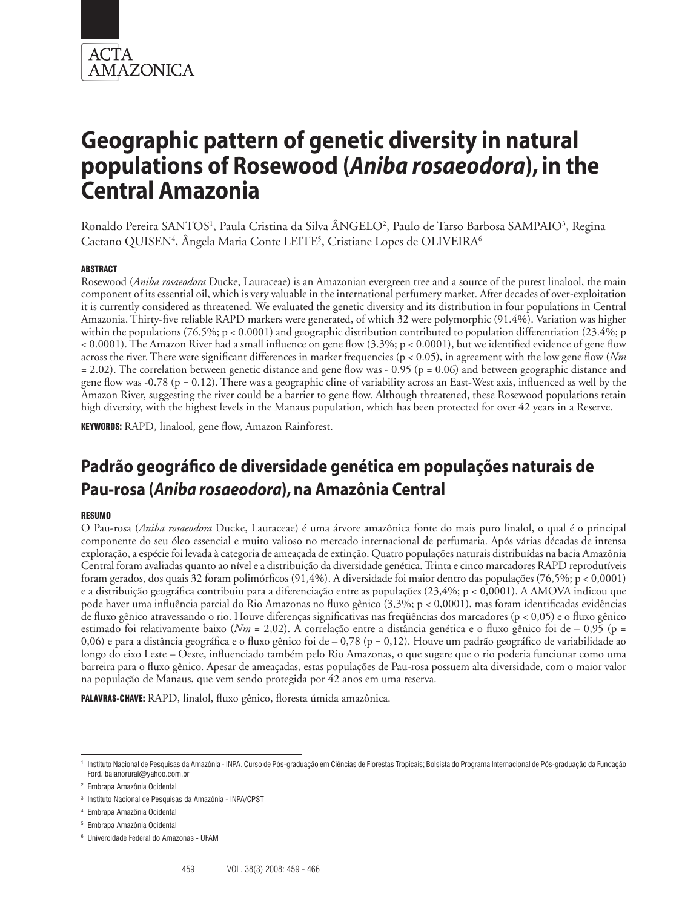

Ronaldo Pereira SANTOS<sup>1</sup>, Paula Cristina da Silva ÂNGELO<sup>2</sup>, Paulo de Tarso Barbosa SAMPAIO<sup>3</sup>, Regina Caetano QUISEN<sup>4</sup>, Ângela Maria Conte LEITE<sup>5</sup>, Cristiane Lopes de OLIVEIRA<sup>6</sup>

## **ABSTRACT**

Rosewood (*Aniba rosaeodora* Ducke, Lauraceae) is an Amazonian evergreen tree and a source of the purest linalool, the main component of its essential oil, which is very valuable in the international perfumery market. After decades of over-exploitation it is currently considered as threatened. We evaluated the genetic diversity and its distribution in four populations in Central Amazonia. Thirty-five reliable RAPD markers were generated, of which 32 were polymorphic (91.4%). Variation was higher within the populations (76.5%; p < 0.0001) and geographic distribution contributed to population differentiation (23.4%; p < 0.0001). The Amazon River had a small influence on gene flow (3.3%; p < 0.0001), but we identified evidence of gene flow across the river. There were significant differences in marker frequencies (p < 0.05), in agreement with the low gene flow (*Nm*  $= 2.02$ ). The correlation between genetic distance and gene flow was - 0.95 (p = 0.06) and between geographic distance and gene flow was  $-0.78$  (p = 0.12). There was a geographic cline of variability across an East-West axis, influenced as well by the Amazon River, suggesting the river could be a barrier to gene flow. Although threatened, these Rosewood populations retain high diversity, with the highest levels in the Manaus population, which has been protected for over 42 years in a Reserve.

KEYWORDS: RAPD, linalool, gene flow, Amazon Rainforest.

## **Padrão geográfico de diversidade genética em populações naturais de Pau-rosa (***Aniba rosaeodora***), na Amazônia Central**

#### Resumo

O Pau-rosa (*Aniba rosaeodora* Ducke, Lauraceae) é uma árvore amazônica fonte do mais puro linalol, o qual é o principal componente do seu óleo essencial e muito valioso no mercado internacional de perfumaria. Após várias décadas de intensa exploração, a espécie foi levada à categoria de ameaçada de extinção. Quatro populações naturais distribuídas na bacia Amazônia Central foram avaliadas quanto ao nível e a distribuição da diversidade genética. Trinta e cinco marcadores RAPD reprodutíveis foram gerados, dos quais 32 foram polimórficos (91,4%). A diversidade foi maior dentro das populações (76,5%; p < 0,0001) e a distribuição geográfica contribuiu para a diferenciação entre as populações (23,4%; p < 0,0001). A AMOVA indicou que pode haver uma influência parcial do Rio Amazonas no fluxo gênico (3,3%; p < 0,0001), mas foram identificadas evidências de fluxo gênico atravessando o rio. Houve diferenças significativas nas freqüências dos marcadores (p < 0,05) e o fluxo gênico estimado foi relativamente baixo (*Nm* = 2,02). A correlação entre a distância genética e o fluxo gênico foi de – 0,95 (p = 0,06) e para a distância geográfica e o fluxo gênico foi de  $-0.78$  (p = 0,12). Houve um padrão geográfico de variabilidade ao longo do eixo Leste – Oeste, influenciado também pelo Rio Amazonas, o que sugere que o rio poderia funcionar como uma barreira para o fluxo gênico. Apesar de ameaçadas, estas populações de Pau-rosa possuem alta diversidade, com o maior valor na população de Manaus, que vem sendo protegida por 42 anos em uma reserva.

**PALAVRAS-CHAVE:** RAPD, linalol, fluxo gênico, floresta úmida amazônica.

<sup>1</sup> Instituto Nacional de Pesquisas da Amazônia - INPA. Curso de Pós-graduação em Ciências de Florestas Tropicais; Bolsista do Programa Internacional de Pós-graduação da Fundação Ford. baianorural@yahoo.com.br

<sup>2</sup> Embrapa Amazônia Ocidental

<sup>3</sup> Instituto Nacional de Pesquisas da Amazônia - INPA/CPST

<sup>4</sup> Embrapa Amazônia Ocidental

<sup>5</sup> Embrapa Amazônia Ocidental

<sup>6</sup> Univercidade Federal do Amazonas - UFAM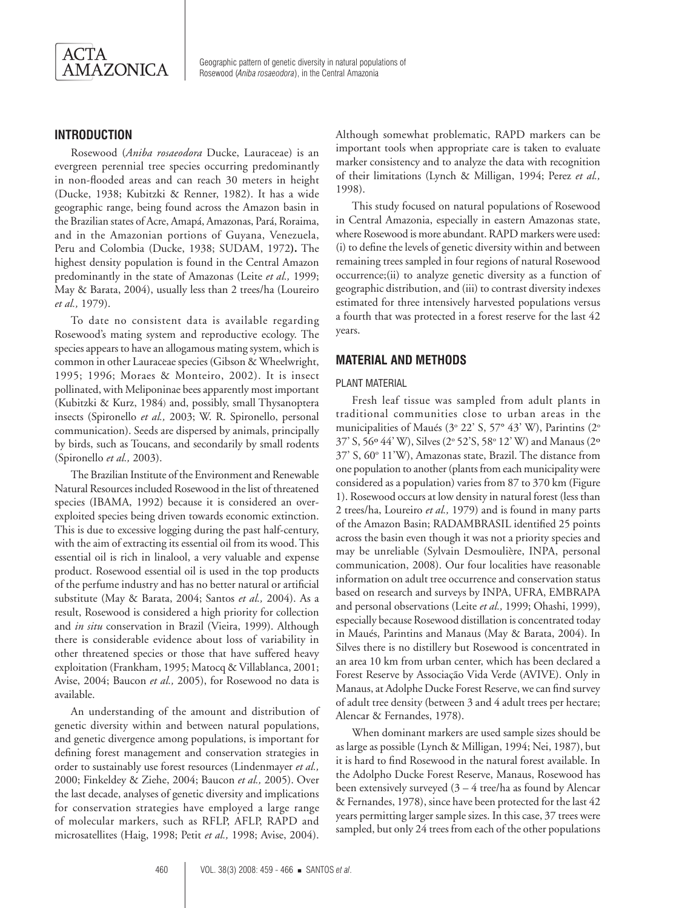

## **Introduction**

Rosewood (*Aniba rosaeodora* Ducke, Lauraceae) is an evergreen perennial tree species occurring predominantly in non-flooded areas and can reach 30 meters in height (Ducke, 1938; Kubitzki & Renner, 1982). It has a wide geographic range, being found across the Amazon basin in the Brazilian states of Acre, Amapá, Amazonas, Pará, Roraima, and in the Amazonian portions of Guyana, Venezuela, Peru and Colombia (Ducke, 1938; SUDAM, 1972**).** The highest density population is found in the Central Amazon predominantly in the state of Amazonas (Leite *et al.,* 1999; May & Barata, 2004), usually less than 2 trees/ha (Loureiro *et al.,* 1979).

To date no consistent data is available regarding Rosewood's mating system and reproductive ecology. The species appears to have an allogamous mating system, which is common in other Lauraceae species (Gibson & Wheelwright, 1995; 1996; Moraes & Monteiro, 2002). It is insect pollinated, with Meliponinae bees apparently most important (Kubitzki & Kurz, 1984) and, possibly, small Thysanoptera insects (Spironello *et al.,* 2003; W. R. Spironello, personal communication). Seeds are dispersed by animals, principally by birds, such as Toucans, and secondarily by small rodents (Spironello *et al.,* 2003).

The Brazilian Institute of the Environment and Renewable Natural Resources included Rosewood in the list of threatened species (IBAMA, 1992) because it is considered an overexploited species being driven towards economic extinction. This is due to excessive logging during the past half-century, with the aim of extracting its essential oil from its wood. This essential oil is rich in linalool, a very valuable and expense product. Rosewood essential oil is used in the top products of the perfume industry and has no better natural or artificial substitute (May & Barata, 2004; Santos *et al.,* 2004). As a result, Rosewood is considered a high priority for collection and *in situ* conservation in Brazil (Vieira, 1999). Although there is considerable evidence about loss of variability in other threatened species or those that have suffered heavy exploitation (Frankham, 1995; Matocq & Villablanca, 2001; Avise, 2004; Baucon *et al.,* 2005), for Rosewood no data is available.

An understanding of the amount and distribution of genetic diversity within and between natural populations, and genetic divergence among populations, is important for defining forest management and conservation strategies in order to sustainably use forest resources (Lindenmayer *et al.,*  2000; Finkeldey & Ziehe, 2004; Baucon *et al.,* 2005). Over the last decade, analyses of genetic diversity and implications for conservation strategies have employed a large range of molecular markers, such as RFLP, AFLP, RAPD and microsatellites (Haig, 1998; Petit *et al.,* 1998; Avise, 2004). Although somewhat problematic, RAPD markers can be important tools when appropriate care is taken to evaluate marker consistency and to analyze the data with recognition of their limitations (Lynch & Milligan, 1994; Perez *et al.,*  1998).

This study focused on natural populations of Rosewood in Central Amazonia, especially in eastern Amazonas state, where Rosewood is more abundant. RAPD markers were used: (i) to define the levels of genetic diversity within and between remaining trees sampled in four regions of natural Rosewood occurrence;(ii) to analyze genetic diversity as a function of geographic distribution, and (iii) to contrast diversity indexes estimated for three intensively harvested populations versus a fourth that was protected in a forest reserve for the last 42 years.

## **Material and methods**

#### PLANT MATERIAL

Fresh leaf tissue was sampled from adult plants in traditional communities close to urban areas in the municipalities of Maués (3° 22' S, 57° 43' W), Parintins (2° 37' S, 56° 44' W), Silves (2° 52'S, 58° 12' W) and Manaus (2° 37' S, 60° 11'W), Amazonas state, Brazil. The distance from one population to another (plants from each municipality were considered as a population) varies from 87 to 370 km (Figure 1). Rosewood occurs at low density in natural forest (less than 2 trees/ha, Loureiro *et al.,* 1979) and is found in many parts of the Amazon Basin; RADAMBRASIL identified 25 points across the basin even though it was not a priority species and may be unreliable (Sylvain Desmoulière, INPA, personal communication, 2008). Our four localities have reasonable information on adult tree occurrence and conservation status based on research and surveys by INPA, UFRA, EMBRAPA and personal observations (Leite *et al.,* 1999; Ohashi, 1999), especially because Rosewood distillation is concentrated today in Maués, Parintins and Manaus (May & Barata, 2004). In Silves there is no distillery but Rosewood is concentrated in an area 10 km from urban center, which has been declared a Forest Reserve by Associação Vida Verde (AVIVE). Only in Manaus, at Adolphe Ducke Forest Reserve, we can find survey of adult tree density (between 3 and 4 adult trees per hectare; Alencar & Fernandes, 1978).

When dominant markers are used sample sizes should be as large as possible (Lynch & Milligan, 1994; Nei, 1987), but it is hard to find Rosewood in the natural forest available. In the Adolpho Ducke Forest Reserve, Manaus, Rosewood has been extensively surveyed (3 – 4 tree/ha as found by Alencar & Fernandes, 1978), since have been protected for the last 42 years permitting larger sample sizes. In this case, 37 trees were sampled, but only 24 trees from each of the other populations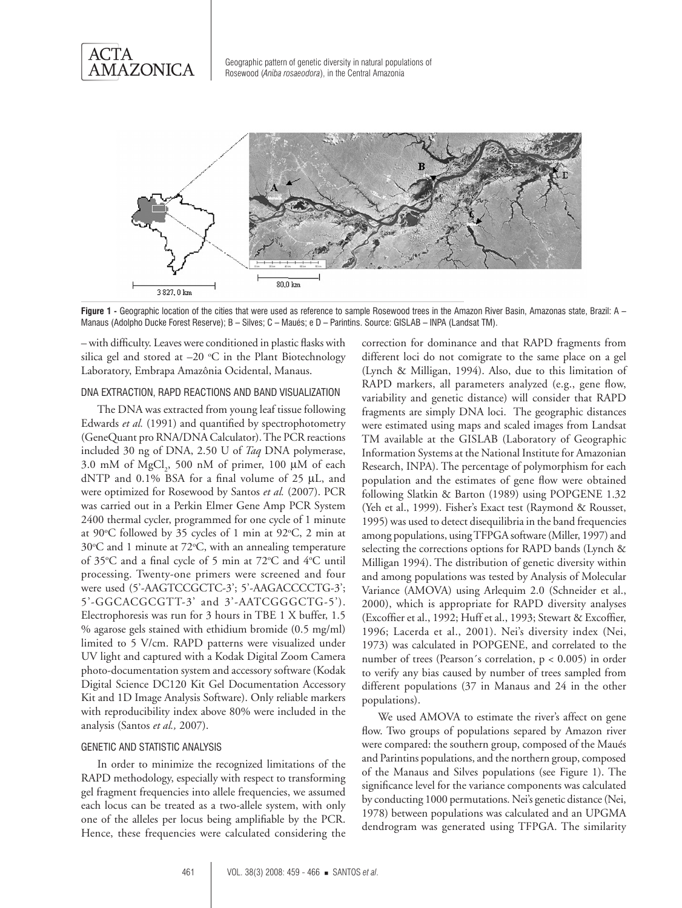



Figure 1 - Geographic location of the cities that were used as reference to sample Rosewood trees in the Amazon River Basin, Amazonas state, Brazil: A -Manaus (Adolpho Ducke Forest Reserve); B – Silves; C – Maués; e D – Parintins. Source: GISLAB – INPA (Landsat TM).

– with difficulty. Leaves were conditioned in plastic flasks with silica gel and stored at  $-20$  °C in the Plant Biotechnology Laboratory, Embrapa Amazônia Ocidental, Manaus.

#### DNA extraction, RAPD reactions and band visualization

The DNA was extracted from young leaf tissue following Edwards *et al.* (1991) and quantified by spectrophotometry (GeneQuant pro RNA/DNA Calculator). The PCR reactions included 30 ng of DNA, 2.50 U of *Taq* DNA polymerase, 3.0 mM of  $MgCl<sub>2</sub>$ , 500 nM of primer, 100 µM of each dNTP and 0.1% BSA for a final volume of 25 µL, and were optimized for Rosewood by Santos *et al.* (2007). PCR was carried out in a Perkin Elmer Gene Amp PCR System 2400 thermal cycler, programmed for one cycle of 1 minute at 90°C followed by 35 cycles of 1 min at 92°C, 2 min at 30°C and 1 minute at 72°C, with an annealing temperature of 35°C and a final cycle of 5 min at 72°C and 4°C until processing. Twenty-one primers were screened and four were used (5'-AAGTCCGCTC-3'; 5'-AAGACCCCTG-3'; 5'-GGCACGCGTT-3' and 3'-AATCGGGCTG-5'). Electrophoresis was run for 3 hours in TBE 1 X buffer, 1.5 % agarose gels stained with ethidium bromide (0.5 mg/ml) limited to 5 V/cm. RAPD patterns were visualized under UV light and captured with a Kodak Digital Zoom Camera photo-documentation system and accessory software (Kodak Digital Science DC120 Kit Gel Documentation Accessory Kit and 1D Image Analysis Software). Only reliable markers with reproducibility index above 80% were included in the analysis (Santos *et al.,* 2007).

#### GENETIC AND STATISTIC ANALYSIS

In order to minimize the recognized limitations of the RAPD methodology, especially with respect to transforming gel fragment frequencies into allele frequencies, we assumed each locus can be treated as a two-allele system, with only one of the alleles per locus being amplifiable by the PCR. Hence, these frequencies were calculated considering the

correction for dominance and that RAPD fragments from different loci do not comigrate to the same place on a gel (Lynch & Milligan, 1994). Also, due to this limitation of RAPD markers, all parameters analyzed (e.g., gene flow, variability and genetic distance) will consider that RAPD fragments are simply DNA loci. The geographic distances were estimated using maps and scaled images from Landsat TM available at the GISLAB (Laboratory of Geographic Information Systems at the National Institute for Amazonian Research, INPA). The percentage of polymorphism for each population and the estimates of gene flow were obtained following Slatkin & Barton (1989) using POPGENE 1.32 (Yeh et al., 1999). Fisher's Exact test (Raymond & Rousset, 1995) was used to detect disequilibria in the band frequencies among populations, using TFPGA software (Miller, 1997) and selecting the corrections options for RAPD bands (Lynch & Milligan 1994). The distribution of genetic diversity within and among populations was tested by Analysis of Molecular Variance (AMOVA) using Arlequim 2.0 (Schneider et al., 2000), which is appropriate for RAPD diversity analyses (Excoffier et al., 1992; Huff et al., 1993; Stewart & Excoffier, 1996; Lacerda et al., 2001). Nei's diversity index (Nei, 1973) was calculated in POPGENE, and correlated to the number of trees (Pearson´s correlation, p < 0.005) in order to verify any bias caused by number of trees sampled from different populations (37 in Manaus and 24 in the other populations).

We used AMOVA to estimate the river's affect on gene flow. Two groups of populations separed by Amazon river were compared: the southern group, composed of the Maués and Parintins populations, and the northern group, composed of the Manaus and Silves populations (see Figure 1). The significance level for the variance components was calculated by conducting 1000 permutations. Nei's genetic distance (Nei, 1978) between populations was calculated and an UPGMA dendrogram was generated using TFPGA. The similarity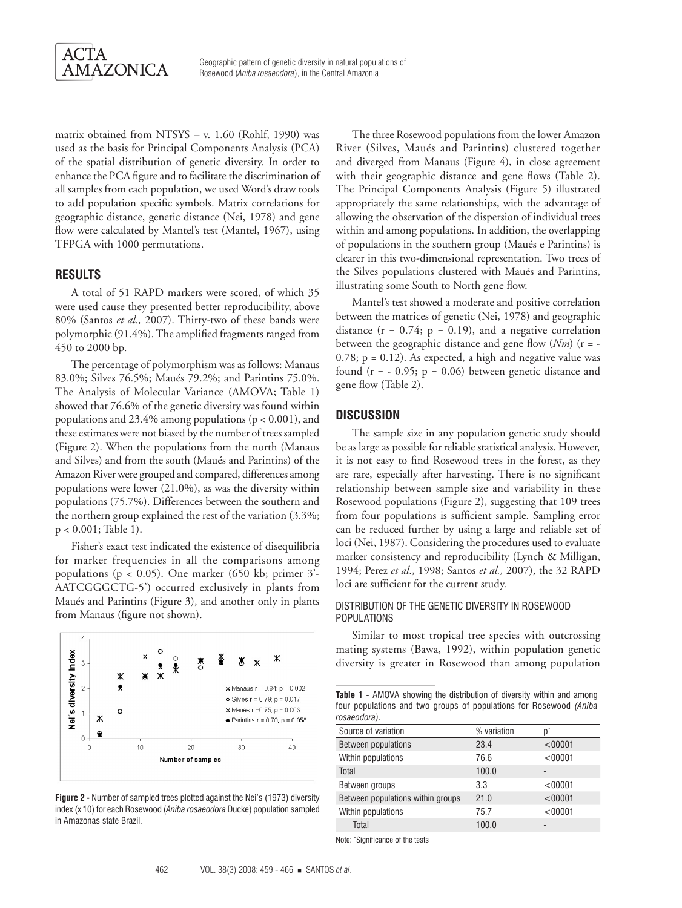

matrix obtained from NTSYS – v. 1.60 (Rohlf, 1990) was used as the basis for Principal Components Analysis (PCA) of the spatial distribution of genetic diversity. In order to enhance the PCA figure and to facilitate the discrimination of all samples from each population, we used Word's draw tools to add population specific symbols. Matrix correlations for geographic distance, genetic distance (Nei, 1978) and gene flow were calculated by Mantel's test (Mantel, 1967), using TFPGA with 1000 permutations.

## **Results**

A total of 51 RAPD markers were scored, of which 35 were used cause they presented better reproducibility, above 80% (Santos *et al.,* 2007). Thirty-two of these bands were polymorphic (91.4%). The amplified fragments ranged from 450 to 2000 bp.

The percentage of polymorphism was as follows: Manaus 83.0%; Silves 76.5%; Maués 79.2%; and Parintins 75.0%. The Analysis of Molecular Variance (AMOVA; Table 1) showed that 76.6% of the genetic diversity was found within populations and 23.4% among populations ( $p < 0.001$ ), and these estimates were not biased by the number of trees sampled (Figure 2). When the populations from the north (Manaus and Silves) and from the south (Maués and Parintins) of the Amazon River were grouped and compared, differences among populations were lower (21.0%), as was the diversity within populations (75.7%). Differences between the southern and the northern group explained the rest of the variation (3.3%; p < 0.001; Table 1).

Fisher's exact test indicated the existence of disequilibria for marker frequencies in all the comparisons among populations ( $p < 0.05$ ). One marker (650 kb; primer 3'-AATCGGGCTG-5') occurred exclusively in plants from Maués and Parintins (Figure 3), and another only in plants from Manaus (figure not shown).



**Figure 2 -** Number of sampled trees plotted against the Nei's (1973) diversity index (x 10) for each Rosewood (*Aniba rosaeodora* Ducke) population sampled in Amazonas state Brazil.

The three Rosewood populations from the lower Amazon River (Silves, Maués and Parintins) clustered together and diverged from Manaus (Figure 4), in close agreement with their geographic distance and gene flows (Table 2). The Principal Components Analysis (Figure 5) illustrated appropriately the same relationships, with the advantage of allowing the observation of the dispersion of individual trees within and among populations. In addition, the overlapping of populations in the southern group (Maués e Parintins) is clearer in this two-dimensional representation. Two trees of the Silves populations clustered with Maués and Parintins, illustrating some South to North gene flow.

Mantel's test showed a moderate and positive correlation between the matrices of genetic (Nei, 1978) and geographic distance  $(r = 0.74; p = 0.19)$ , and a negative correlation between the geographic distance and gene flow (*Nm*) (r = -  $0.78$ ;  $p = 0.12$ ). As expected, a high and negative value was found  $(r = -0.95; p = 0.06)$  between genetic distance and gene flow (Table 2).

## **Discussion**

The sample size in any population genetic study should be as large as possible for reliable statistical analysis. However, it is not easy to find Rosewood trees in the forest, as they are rare, especially after harvesting. There is no significant relationship between sample size and variability in these Rosewood populations (Figure 2), suggesting that 109 trees from four populations is sufficient sample. Sampling error can be reduced further by using a large and reliable set of loci (Nei, 1987). Considering the procedures used to evaluate marker consistency and reproducibility (Lynch & Milligan, 1994; Perez *et al*., 1998; Santos *et al.,* 2007), the 32 RAPD loci are sufficient for the current study.

## Distribution of the genetic diversity in Rosewood **POPULATIONS**

Similar to most tropical tree species with outcrossing mating systems (Bawa, 1992), within population genetic diversity is greater in Rosewood than among population

**Table 1** - AMOVA showing the distribution of diversity within and among four populations and two groups of populations for Rosewood *(Aniba rosaeodora)*.

| Source of variation               | % variation | $\mathsf{D}^*$ |
|-----------------------------------|-------------|----------------|
| Between populations               | 23.4        | < 00001        |
| Within populations                | 76.6        | < 00001        |
| Total                             | 100.0       |                |
| Between groups                    | 3.3         | < 00001        |
| Between populations within groups | 21.0        | < 00001        |
| Within populations                | 75.7        | < 00001        |
| Total                             | 100.0       |                |

Note: \* Significance of the tests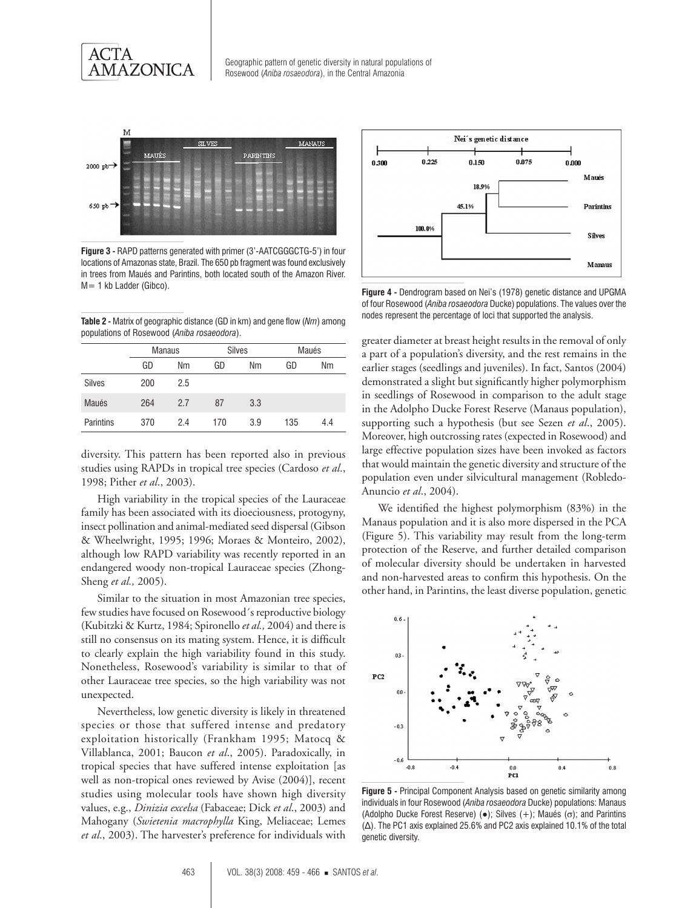



**Figure 3 -** RAPD patterns generated with primer (3'-AATCGGGCTG-5') in four locations of Amazonas state, Brazil. The 650 pb fragment was found exclusively in trees from Maués and Parintins, both located south of the Amazon River. M= 1 kb Ladder (Gibco).

**Table 2 -** Matrix of geographic distance (GD in km) and gene flow (*Nm*) among populations of Rosewood (*Aniba rosaeodora*).

|               | <b>Manaus</b> |     | <b>Silves</b> |     | Maués |     |
|---------------|---------------|-----|---------------|-----|-------|-----|
|               | GD            | Nm  | GD            | Nm  | GD    | Nm  |
| <b>Silves</b> | 200           | 2.5 |               |     |       |     |
| Maués         | 264           | 2.7 | 87            | 3.3 |       |     |
| Parintins     | 370           | 2.4 | 170           | 3.9 | 135   | 4.4 |

diversity. This pattern has been reported also in previous studies using RAPDs in tropical tree species (Cardoso *et al*., 1998; Pither *et al*., 2003).

High variability in the tropical species of the Lauraceae family has been associated with its dioeciousness, protogyny, insect pollination and animal-mediated seed dispersal (Gibson & Wheelwright, 1995; 1996; Moraes & Monteiro, 2002), although low RAPD variability was recently reported in an endangered woody non-tropical Lauraceae species (Zhong-Sheng *et al.,* 2005).

Similar to the situation in most Amazonian tree species, few studies have focused on Rosewood´s reproductive biology (Kubitzki & Kurtz, 1984; Spironello *et al.,* 2004) and there is still no consensus on its mating system. Hence, it is difficult to clearly explain the high variability found in this study. Nonetheless, Rosewood's variability is similar to that of other Lauraceae tree species, so the high variability was not unexpected.

Nevertheless, low genetic diversity is likely in threatened species or those that suffered intense and predatory exploitation historically (Frankham 1995; Matocq & Villablanca, 2001; Baucon *et al*., 2005). Paradoxically, in tropical species that have suffered intense exploitation [as well as non-tropical ones reviewed by Avise (2004)], recent studies using molecular tools have shown high diversity values, e.g., *Dinizia excelsa* (Fabaceae; Dick *et al*., 2003) and Mahogany (*Swietenia macrophylla* King, Meliaceae; Lemes *et al*., 2003). The harvester's preference for individuals with



**Figure 4 -** Dendrogram based on Nei's (1978) genetic distance and UPGMA of four Rosewood (*Aniba rosaeodora* Ducke) populations. The values over the nodes represent the percentage of loci that supported the analysis.

greater diameter at breast height results in the removal of only a part of a population's diversity, and the rest remains in the earlier stages (seedlings and juveniles). In fact, Santos (2004) demonstrated a slight but significantly higher polymorphism in seedlings of Rosewood in comparison to the adult stage in the Adolpho Ducke Forest Reserve (Manaus population), supporting such a hypothesis (but see Sezen *et al*., 2005). Moreover, high outcrossing rates (expected in Rosewood) and large effective population sizes have been invoked as factors that would maintain the genetic diversity and structure of the population even under silvicultural management (Robledo-Anuncio *et al*., 2004).

We identified the highest polymorphism (83%) in the Manaus population and it is also more dispersed in the PCA (Figure 5). This variability may result from the long-term protection of the Reserve, and further detailed comparison of molecular diversity should be undertaken in harvested and non-harvested areas to confirm this hypothesis. On the other hand, in Parintins, the least diverse population, genetic



**Figure 5 -** Principal Component Analysis based on genetic similarity among individuals in four Rosewood (*Aniba rosaeodora* Ducke) populations: Manaus (Adolpho Ducke Forest Reserve) ( $\bullet$ ); Silves (+); Maués ( $\sigma$ ); and Parintins (Δ). The PC1 axis explained 25.6% and PC2 axis explained 10.1% of the total genetic diversity.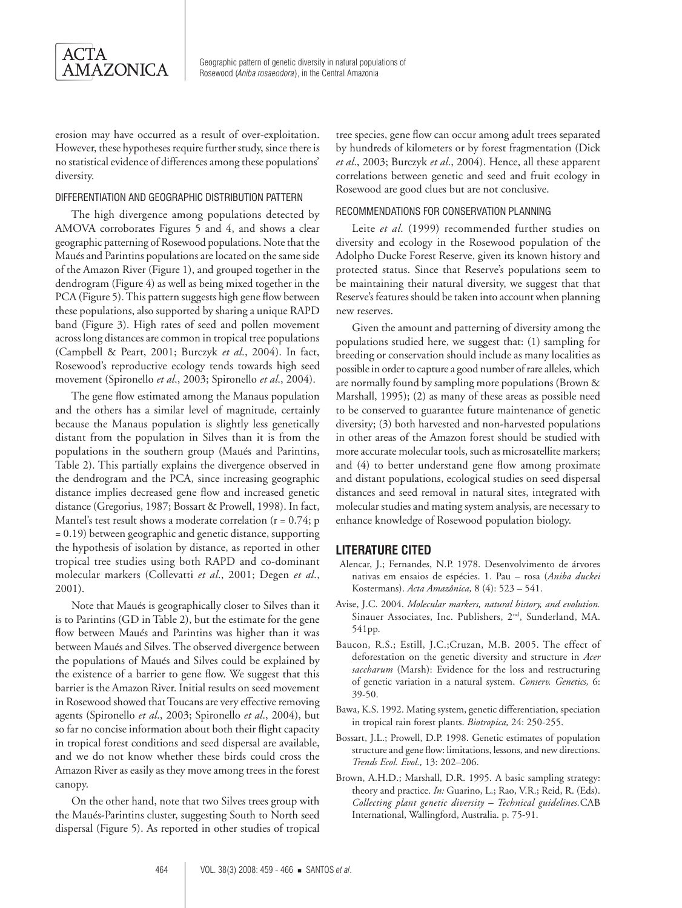

erosion may have occurred as a result of over-exploitation. However, these hypotheses require further study, since there is no statistical evidence of differences among these populations' diversity.

#### Differentiation and geographic distribution pattern

The high divergence among populations detected by AMOVA corroborates Figures 5 and 4, and shows a clear geographic patterning of Rosewood populations. Note that the Maués and Parintins populations are located on the same side of the Amazon River (Figure 1), and grouped together in the dendrogram (Figure 4) as well as being mixed together in the PCA (Figure 5). This pattern suggests high gene flow between these populations, also supported by sharing a unique RAPD band (Figure 3). High rates of seed and pollen movement across long distances are common in tropical tree populations (Campbell & Peart, 2001; Burczyk *et al*., 2004). In fact, Rosewood's reproductive ecology tends towards high seed movement (Spironello *et al*., 2003; Spironello *et al*., 2004).

The gene flow estimated among the Manaus population and the others has a similar level of magnitude, certainly because the Manaus population is slightly less genetically distant from the population in Silves than it is from the populations in the southern group (Maués and Parintins, Table 2). This partially explains the divergence observed in the dendrogram and the PCA, since increasing geographic distance implies decreased gene flow and increased genetic distance (Gregorius, 1987; Bossart & Prowell, 1998). In fact, Mantel's test result shows a moderate correlation ( $r = 0.74$ ; p = 0.19) between geographic and genetic distance, supporting the hypothesis of isolation by distance, as reported in other tropical tree studies using both RAPD and co-dominant molecular markers (Collevatti *et al*., 2001; Degen *et al*., 2001).

Note that Maués is geographically closer to Silves than it is to Parintins (GD in Table 2), but the estimate for the gene flow between Maués and Parintins was higher than it was between Maués and Silves. The observed divergence between the populations of Maués and Silves could be explained by the existence of a barrier to gene flow. We suggest that this barrier is the Amazon River. Initial results on seed movement in Rosewood showed that Toucans are very effective removing agents (Spironello *et al*., 2003; Spironello *et al*., 2004), but so far no concise information about both their flight capacity in tropical forest conditions and seed dispersal are available, and we do not know whether these birds could cross the Amazon River as easily as they move among trees in the forest canopy.

On the other hand, note that two Silves trees group with the Maués-Parintins cluster, suggesting South to North seed dispersal (Figure 5). As reported in other studies of tropical

tree species, gene flow can occur among adult trees separated by hundreds of kilometers or by forest fragmentation (Dick *et al*., 2003; Burczyk *et al*., 2004). Hence, all these apparent correlations between genetic and seed and fruit ecology in Rosewood are good clues but are not conclusive.

#### Recommendations for conservation planning

Leite *et al*. (1999) recommended further studies on diversity and ecology in the Rosewood population of the Adolpho Ducke Forest Reserve, given its known history and protected status. Since that Reserve's populations seem to be maintaining their natural diversity, we suggest that that Reserve's features should be taken into account when planning new reserves.

Given the amount and patterning of diversity among the populations studied here, we suggest that: (1) sampling for breeding or conservation should include as many localities as possible in order to capture a good number of rare alleles, which are normally found by sampling more populations (Brown & Marshall, 1995); (2) as many of these areas as possible need to be conserved to guarantee future maintenance of genetic diversity; (3) both harvested and non-harvested populations in other areas of the Amazon forest should be studied with more accurate molecular tools, such as microsatellite markers; and (4) to better understand gene flow among proximate and distant populations, ecological studies on seed dispersal distances and seed removal in natural sites, integrated with molecular studies and mating system analysis, are necessary to enhance knowledge of Rosewood population biology.

## **LITERATURE CITED**

- Alencar, J.; Fernandes, N.P. 1978. Desenvolvimento de árvores nativas em ensaios de espécies. 1. Pau – rosa (*Aniba duckei* Kostermans). *Acta Amazônica,* 8 (4): 523 – 541.
- Avise, J.C. 2004. *Molecular markers, natural history, and evolution.* Sinauer Associates, Inc. Publishers, 2nd, Sunderland, MA. 541pp.
- Baucon, R.S.; Estill, J.C.;Cruzan, M.B. 2005. The effect of deforestation on the genetic diversity and structure in *Acer saccharum* (Marsh): Evidence for the loss and restructuring of genetic variation in a natural system. *Conserv. Genetics,* 6: 39-50.
- Bawa, K.S. 1992. Mating system, genetic differentiation, speciation in tropical rain forest plants. *Biotropica,* 24: 250-255.
- Bossart, J.L.; Prowell, D.P. 1998. Genetic estimates of population structure and gene flow: limitations, lessons, and new directions. *Trends Ecol. Evol.,* 13: 202–206.
- Brown, A.H.D.; Marshall, D.R. 1995. A basic sampling strategy: theory and practice. *In:* Guarino, L.; Rao, V.R.; Reid, R. (Eds). *Collecting plant genetic diversity – Technical guidelines.*CAB International, Wallingford, Australia. p. 75-91.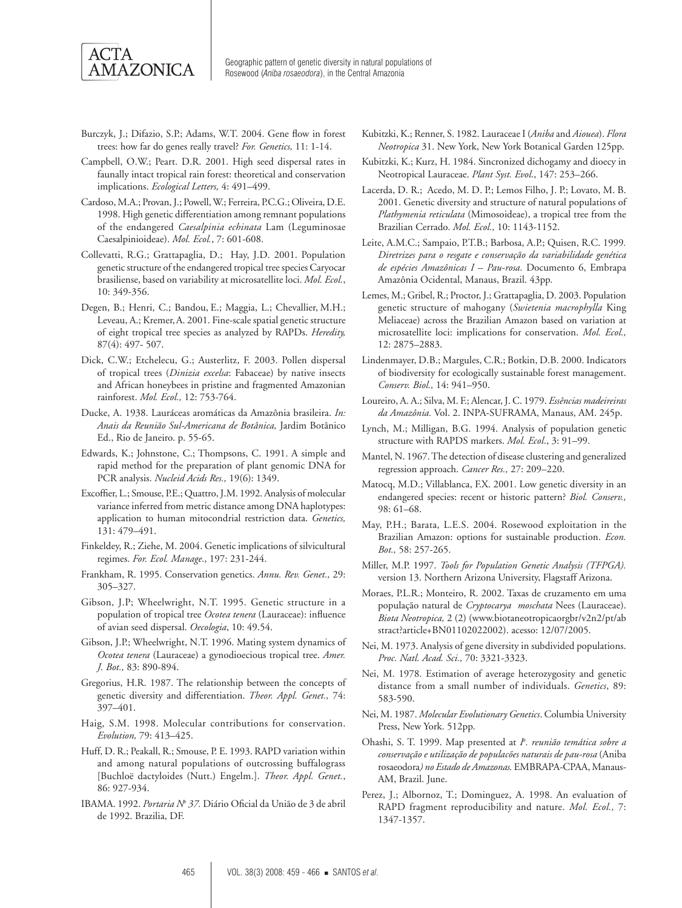

- Burczyk, J.; Difazio, S.P.; Adams, W.T. 2004. Gene flow in forest trees: how far do genes really travel? *For. Genetics,* 11: 1-14.
- Campbell, O.W.; Peart. D.R. 2001. High seed dispersal rates in faunally intact tropical rain forest: theoretical and conservation implications. *Ecological Letters,* 4: 491–499.
- Cardoso, M.A.; Provan, J.; Powell, W.; Ferreira, P.C.G.; Oliveira, D.E. 1998. High genetic differentiation among remnant populations of the endangered *Caesalpinia echinata* Lam (Leguminosae Caesalpinioideae). *Mol. Ecol.*, 7: 601-608.
- Collevatti, R.G.; Grattapaglia, D.; Hay, J.D. 2001. Population genetic structure of the endangered tropical tree species Caryocar brasiliense, based on variability at microsatellite loci. *Mol. Ecol.*, 10: 349-356.
- Degen, B.; Henri, C.; Bandou, E.; Maggia, L.; Chevallier, M.H.; Leveau, A.; Kremer,A. 2001. Fine-scale spatial genetic structure of eight tropical tree species as analyzed by RAPDs. *Heredity,*  87(4): 497- 507.
- Dick, C.W.; Etchelecu, G.; Austerlitz, F. 2003. Pollen dispersal of tropical trees (*Dinizia excelsa*: Fabaceae) by native insects and African honeybees in pristine and fragmented Amazonian rainforest. *Mol. Ecol.,* 12: 753-764.
- Ducke, A. 1938. Lauráceas aromáticas da Amazônia brasileira. *In: Anais da Reunião Sul-Americana de Botânica,* Jardim Botânico Ed., Rio de Janeiro. p. 55-65.
- Edwards, K.; Johnstone, C.; Thompsons, C. 1991. A simple and rapid method for the preparation of plant genomic DNA for PCR analysis. *Nucleid Acids Res.,* 19(6): 1349.
- Excoffier, L.; Smouse, P.E.; Quattro, J.M. 1992. Analysis of molecular variance inferred from metric distance among DNA haplotypes: application to human mitocondrial restriction data. *Genetics,* 131: 479–491.
- Finkeldey, R.; Ziehe, M. 2004. Genetic implications of silvicultural regimes. *For. Ecol. Manage*., 197: 231-244.
- Frankham, R. 1995. Conservation genetics. *Annu. Rev. Genet.,* 29: 305–327.
- Gibson, J.P; Wheelwright, N.T. 1995. Genetic structure in a population of tropical tree *Ocotea tenera* (Lauraceae): influence of avian seed dispersal. *Oecologia*, 10: 49.54.
- Gibson, J.P.; Wheelwright, N.T. 1996. Mating system dynamics of *Ocotea tenera* (Lauraceae) a gynodioecious tropical tree. *Amer. J. Bot.,* 83: 890-894.
- Gregorius, H.R. 1987. The relationship between the concepts of genetic diversity and differentiation. *Theor. Appl. Genet.,* 74: 397–401.
- Haig, S.M. 1998. Molecular contributions for conservation. *Evolution,* 79: 413–425.
- Huff, D. R.; Peakall, R.; Smouse, P. E. 1993. RAPD variation within and among natural populations of outcrossing buffalograss [Buchloë dactyloides (Nutt.) Engelm.]. *Theor. Appl. Genet.*, 86: 927-934.
- IBAMA. 1992. *Portaria Nº 37*. Diário Oficial da União de 3 de abril de 1992. Brazilia, DF.
- Kubitzki, K.; Renner, S. 1982. Lauraceae I (*Aniba* and *Aiouea*). *Flora Neotropica* 31. New York, New York Botanical Garden 125pp.
- Kubitzki, K.; Kurz, H. 1984. Sincronized dichogamy and dioecy in Neotropical Lauraceae. *Plant Syst. Evol*., 147: 253–266.
- Lacerda, D. R.; Acedo, M. D. P.; Lemos Filho, J. P.; Lovato, M. B. 2001. Genetic diversity and structure of natural populations of *Plathymenia reticulata* (Mimosoideae), a tropical tree from the Brazilian Cerrado. *Mol. Ecol.,* 10: 1143-1152.
- Leite, A.M.C.; Sampaio, P.T.B.; Barbosa, A.P.; Quisen, R.C. 1999*. Diretrizes para o resgate e conservação da variabilidade genética de espécies Amazônicas I – Pau-rosa.* Documento 6, Embrapa Amazônia Ocidental, Manaus, Brazil. 43pp.
- Lemes, M.; Gribel, R.; Proctor, J.; Grattapaglia, D. 2003. Population genetic structure of mahogany (*Swietenia macrophylla* King Meliaceae) across the Brazilian Amazon based on variation at microsatellite loci: implications for conservation. *Mol. Ecol.,*  12: 2875–2883.
- Lindenmayer, D.B.; Margules, C.R.; Botkin, D.B. 2000. Indicators of biodiversity for ecologically sustainable forest management. *Conserv. Biol.,* 14: 941–950.
- Loureiro, A. A.; Silva, M. F.; Alencar, J. C. 1979. *Essências madeireiras da Amazônia.* Vol. 2. INPA-SUFRAMA, Manaus, AM. 245p.
- Lynch, M.; Milligan, B.G. 1994. Analysis of population genetic structure with RAPDS markers. *Mol. Ecol*., 3: 91–99.
- Mantel, N. 1967. The detection of disease clustering and generalized regression approach. *Cancer Res.,* 27: 209–220.
- Matocq, M.D.; Villablanca, F.X. 2001. Low genetic diversity in an endangered species: recent or historic pattern? *Biol. Conserv.,*  98: 61–68.
- May, P.H.; Barata, L.E.S. 2004. Rosewood exploitation in the Brazilian Amazon: options for sustainable production. *Econ. Bot.,* 58: 257-265.
- Miller, M.P. 1997. *Tools for Population Genetic Analysis (TFPGA).* version 13. Northern Arizona University, Flagstaff Arizona.
- Moraes, P.L.R.; Monteiro, R. 2002. Taxas de cruzamento em uma população natural de *Cryptocarya moschata* Nees (Lauraceae). *Biota Neotropica,* 2 (2) (www.biotaneotropicaorgbr/v2n2/pt/ab stract?article+BN01102022002). acesso: 12/07/2005.
- Nei, M. 1973. Analysis of gene diversity in subdivided populations. *Proc. Natl. Acad. Sci.,* 70: 3321-3323.
- Nei, M. 1978. Estimation of average heterozygosity and genetic distance from a small number of individuals. *Genetics*, 89: 583-590.
- Nei, M. 1987. *Molecular Evolutionary Genetics*. Columbia University Press, New York. 512pp.
- Ohashi, S. T. 1999. Map presented at *I<sup>a</sup>. reunião temática sobre a conservação e utilização de populacões naturais de pau-rosa* (Aniba rosaeodora*) no Estado de Amazonas.* EMBRAPA-CPAA, Manaus-AM, Brazil. June.
- Perez, J.; Albornoz, T.; Dominguez, A. 1998. An evaluation of RAPD fragment reproducibility and nature. *Mol. Ecol.,* 7: 1347-1357.